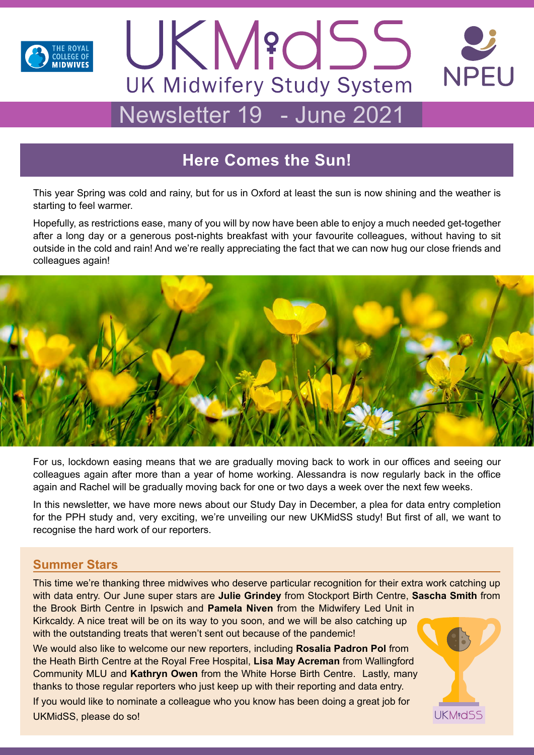



# Newsletter 19 - June 2021

# **Here Comes the Sun!**

This year Spring was cold and rainy, but for us in Oxford at least the sun is now shining and the weather is starting to feel warmer.

Hopefully, as restrictions ease, many of you will by now have been able to enjoy a much needed get-together after a long day or a generous post-nights breakfast with your favourite colleagues, without having to sit outside in the cold and rain! And we're really appreciating the fact that we can now hug our close friends and colleagues again!



For us, lockdown easing means that we are gradually moving back to work in our offices and seeing our colleagues again after more than a year of home working. Alessandra is now regularly back in the office again and Rachel will be gradually moving back for one or two days a week over the next few weeks.

In this newsletter, we have more news about our Study Day in December, a plea for data entry completion for the PPH study and, very exciting, we're unveiling our new UKMidSS study! But first of all, we want to recognise the hard work of our reporters.

### **Summer Stars**

This time we're thanking three midwives who deserve particular recognition for their extra work catching up with data entry. Our June super stars are **Julie Grindey** from Stockport Birth Centre, **Sascha Smith** from the Brook Birth Centre in Ipswich and **Pamela Niven** from the Midwifery Led Unit in Kirkcaldy. A nice treat will be on its way to you soon, and we will be also catching up with the outstanding treats that weren't sent out because of the pandemic!

We would also like to welcome our new reporters, including **Rosalia Padron Pol** from the Heath Birth Centre at the Royal Free Hospital, **Lisa May Acreman** from Wallingford Community MLU and **Kathryn Owen** from the White Horse Birth Centre. Lastly, many thanks to those regular reporters who just keep up with their reporting and data entry. If you would like to nominate a colleague who you know has been doing a great job for UKMidSS, please do so!

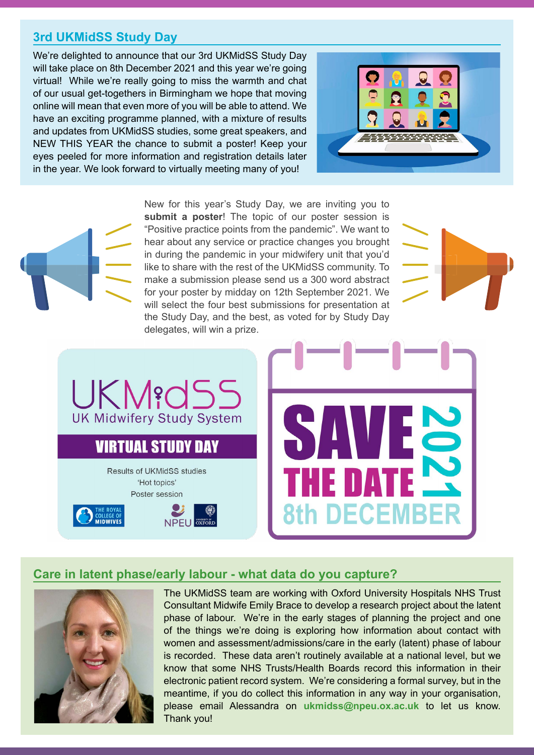## **3rd UKMidSS Study Day**

We're delighted to announce that our 3rd UKMidSS Study Day will take place on 8th December 2021 and this year we're going virtual! While we're really going to miss the warmth and chat of our usual get-togethers in Birmingham we hope that moving online will mean that even more of you will be able to attend. We have an exciting programme planned, with a mixture of results and updates from UKMidSS studies, some great speakers, and NEW THIS YEAR the chance to submit a poster! Keep your eyes peeled for more information and registration details later in the year. We look forward to virtually meeting many of you!





New for this year's Study Day, we are inviting you to **submit a poster**! The topic of our poster session is "Positive practice points from the pandemic". We want to hear about any service or practice changes you brought in during the pandemic in your midwifery unit that you'd like to share with the rest of the UKMidSS community. To make a submission please send us a 300 word abstract for your poster by midday on 12th September 2021. We will select the four best submissions for presentation at the Study Day, and the best, as voted for by Study Day delegates, will win a prize.



UKM?d **UK Midwifery Study System VIRTUAL STUDY DAY Results of UKMidSS studies** 'Hot topics'

Poster session





#### **Care in latent phase/early labour - what data do you capture?**



The UKMidSS team are working with Oxford University Hospitals NHS Trust Consultant Midwife Emily Brace to develop a research project about the latent phase of labour. We're in the early stages of planning the project and one of the things we're doing is exploring how information about contact with women and assessment/admissions/care in the early (latent) phase of labour is recorded. These data aren't routinely available at a national level, but we know that some NHS Trusts/Health Boards record this information in their electronic patient record system. We're considering a formal survey, but in the meantime, if you do collect this information in any way in your organisation, please email Alessandra on **ukmidss@npeu.ox.ac.uk** to let us know. Thank you!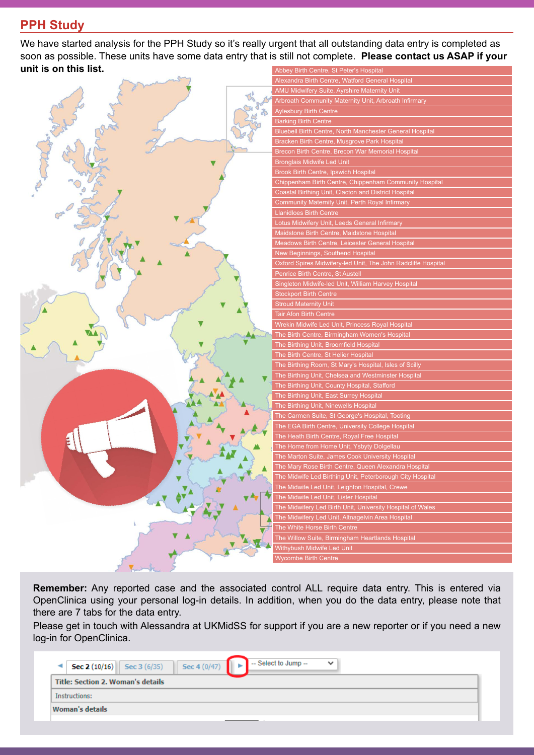# **PPH Study**

We have started analysis for the PPH Study so it's really urgent that all outstanding data entry is completed as soon as possible. These units have some data entry that is still not complete. **Please contact us ASAP if your unit is on this list.** Abbey Birth Centre, St Peter's Hospital



**Remember:** Any reported case and the associated control ALL require data entry. This is entered via OpenClinica using your personal log-in details. In addition, when you do the data entry, please note that there are 7 tabs for the data entry.

Please get in touch with Alessandra at UKMidSS for support if you are a new reporter or if you need a new log-in for OpenClinica.

| $\left  \right $ Sec 4 (0/47)<br><b>Sec 2 (10/16)</b> Sec 3 (6/35)<br>۰ | $-$ Select to Jump $-$<br>$\checkmark$ |
|-------------------------------------------------------------------------|----------------------------------------|
| <b>Title: Section 2. Woman's details</b>                                |                                        |
| Instructions:                                                           |                                        |
| <b>Woman's details</b>                                                  |                                        |
|                                                                         |                                        |